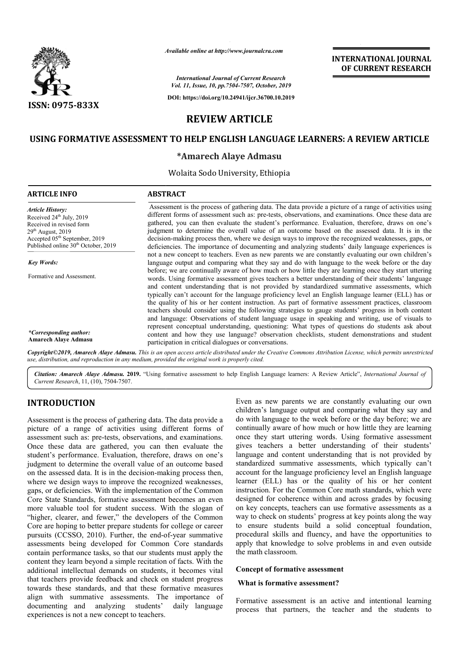

*Available*

*International Journal of Current Research Vol. 11, Issue, 10, pp.7504-7507, October, 2019*

**DOI: https://doi.org/10.24941/ijcr.36700.10.2019**

# **INTERNATIONAL JOURNAL OF CURRENT RESEARCH**

# **REVIEW ARTICLE**

## **USING FORMATIVE ASSESSMENT TO HELP ENGLISH LANGUAGE LEARNERS LEARNERS: A REVIEW ARTICLE**

### **\*Amarech Alaye Admasu**

Wolaita Sodo University, Ethiopia

### **ARTICLE INFO ABSTRACT** Assessment is the process of gathering data. The data provide a picture of a range of activities using different forms of assessment such as: pre-tests, observations, and examinations. Once these data are gathered, you can then evaluate the student's performance. Evaluation, therefore, draws on one's judgment to determine the overall value of an outcome based on the assessed data. It is in the decision decision-making process then, where we design ways to improve the recognized deficiencies. The importance of documenting and analyzing students' daily language experiences is not a new concept to teachers. Even as new parents we are constantly evaluating our own children's language output and comparing what they say and do with language to the week before or the day before; we are continually aware of how much or how little they are learning once they start uttering words. Using formative assessment gives teachers a better understanding of their students' langua and content understanding that is not provided by standardized summative assessments, which typically can't account for the language proficiency level an English language learner (ELL) has or the quality of his or her content instruction. As part of for formative assessment practices, classroom teachers should consider using the following strategies to gauge students' progress in both content and language: Observations of student language usage in speaking and writing, use of visuals to represent conceptual understanding, questioning: What types of questions do students ask about content and how they use language? observation checklists, student demonstrations and student participation in critical dialogues or conversations. Copyright©2019, Amarech Alaye Admasu. This is an open access article distributed under the Creative Commons Attribution License, which permits unrestrictea *Article History:* Received 24<sup>th</sup> July, 2019 Received in revised form  $29<sup>th</sup>$  August,  $2019$ Accepted 05<sup>th</sup> September, 2019 Published online 30<sup>th</sup> October, 2019 *Key Words:* Formative and Assessment. *\*Corresponding author:* **Amarech Alaye Admasu** Available online at http://www.journalcra.com<br>
International Journal of Current Researc<br>
Vol. 11, Issue, 10, pp.7504-7507, October, 2:<br>
DOI: https://doi.org/10.24941/ijcr.36700.10.<br> **REVIEW ARTICLE**<br> **AENT TO HELP ENGLISH** Assessment is the process of gathering data. The data provide a picture of a range of activities using different forms of assessment such as: pre-tests, observations, and examinations. Once these data are gathered, you can deficiencies. The importance of documenting and analyzing students' daily language experiences is<br>not a new concept to teachers. Even as new parents we are constantly evaluating our own children's<br>language output and compa and content understanding that is not provided by standardized summative assessments, typically can't account for the language proficiency level an English language learner (ELL) the quality of his or her content instructi

*use, distribution, and reproduction in any medium, provided the original work is properly cited.*

Citation: Amarech Alaye Admasu. 2019. "Using formative assessment to help English Language learners: A Review Article", *International Journal of Current Research*, 11, (10), 7504-7507.

# **INTRODUCTION**

Assessment is the process of gathering data. The data provide a picture of a range of activities using different forms of assessment such as: pre-tests, observations, and examinations. Once these data are gathered, you can then evaluate the student's performance. Evaluation, therefore, draws on one's judgment to determine the overall value of an outcome based on the assessed data. It is in the decision-making process then, where we design ways to improve the recognized weaknesses, gaps, or deficiencies. With the implementation of the Common Core State Standards, formative assessment becomes an even more valuable tool for student success. With the slogan of "higher, clearer, and fewer," the developers of the Common Core are hoping to better prepare students for college or care pursuits (CCSSO, 2010). Further, the end-of-year summative assessments being developed for Common Core standards contain performance tasks, so that our students must apply the content they learn beyond a simple recitation of facts. With the additional intellectual demands on students, it becomes vital that teachers provide feedback and check on student progress towards these standards, and that these formative measures align with summative assessments. The importance of documenting and analyzing students' experiences is not a new concept to teachers. tests, observations, and examinations.<br>athered, you can then evaluate the<br>Evaluation, therefore, draws on one's<br>he overall value of an outcome based<br>s in the decision-making process then,<br>b improve the recognized weaknesse ntellectual demands on students, it becomes vital<br>s provide feedback and check on student progress<br>see standards, and that these formative measures<br>summative assessments. The importance of<br>g and analyzing students' daily l Even as new parents we are constantly evaluating our own children's language output and comparing what they say and do with language to the week before or the day before; we are continually aware of how much or how little they are learning once they start uttering words. Using formative assessment gives teachers a better understanding of their students' language and content understanding that is not provided by standardized summative assessments, which typically can't account for the language proficiency level an English language learner (ELL) has or the quality of his or her content instruction. For the Common Core math standards, which were designed for coherence within and across grades by focusing on key concepts, teachers can use formative assessments as a way to check on students' progress at key points along the way to ensure students build a solid conceptual foundation, on key concepts, teachers can use formative assessments as a way to check on students' progress at key points along the way to ensure students build a solid conceptual foundation, procedural skills and fluency, and have th apply that knowledge to solve problems in and even outside the math classroom. Even as new parents we are constantly evaluating our own children's language output and comparing what they say and do with language to the week before or the day before; we are continually aware of how much or how little

#### **Concept of formative assessment**

#### **What is formative assessment?**

Formative assessment is an active and intentional learning process that partners, the teacher and the st the in and even outside<br>
state in and even outside<br>
is assessment<br> **is partners**<br>
is an active and intentional learning<br>
the students to<br>
intentional students to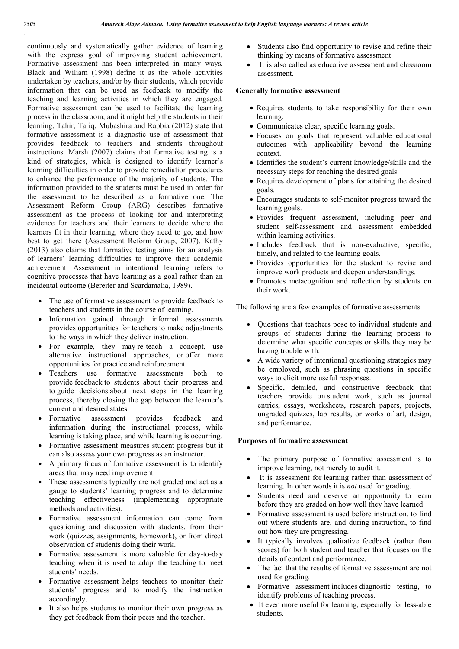continuously and systematically gather evidence of learning with the express goal of improving student achievement. Formative assessment has been interpreted in many ways. Black and Wiliam (1998) define it as the whole activities undertaken by teachers, and/or by their students, which provide information that can be used as feedback to modify the teaching and learning activities in which they are engaged. Formative assessment can be used to facilitate the learning process in the classroom, and it might help the students in their learning. Tahir, Tariq, Mubashira and Rabbia (2012) state that formative assessment is a diagnostic use of assessment that provides feedback to teachers and students throughout instructions. Marsh (2007) claims that formative testing is a kind of strategies, which is designed to identify learner's learning difficulties in order to provide remediation procedures to enhance the performance of the majority of students. The information provided to the students must be used in order for the assessment to be described as a formative one. The Assessment Reform Group (ARG) describes formative assessment as the process of looking for and interpreting evidence for teachers and their learners to decide where the learners fit in their learning, where they need to go, and how best to get there (Assessment Reform Group, 2007). Kathy (2013) also claims that formative testing aims for an analysis of learners' learning difficulties to improve their academic achievement. Assessment in intentional learning refers to cognitive processes that have learning as a goal rather than an incidental outcome (Bereiter and Scardamalia, 1989).

- The use of formative assessment to provide feedback to teachers and students in the course of learning.
- Information gained through informal assessments provides opportunities for teachers to make adjustments to the ways in which they deliver instruction.
- For example, they may re-teach a concept, use alternative instructional approaches, or offer more opportunities for practice and reinforcement.
- Teachers use formative assessments both to provide feedback to students about their progress and to guide decisions about next steps in the learning process, thereby closing the gap between the learner's current and desired states.
- Formative assessment provides feedback and information during the instructional process, while learning is taking place, and while learning is occurring.
- Formative assessment measures student progress but it can also assess your own progress as an instructor.
- A primary focus of formative assessment is to identify areas that may need improvement.
- These assessments typically are not graded and act as a gauge to students' learning progress and to determine teaching effectiveness (implementing appropriate methods and activities).
- Formative assessment information can come from questioning and discussion with students, from their work (quizzes, assignments, homework), or from direct observation of students doing their work.
- Formative assessment is more valuable for day-to-day teaching when it is used to adapt the teaching to meet students' needs.
- Formative assessment helps teachers to monitor their students' progress and to modify the instruction accordingly.
- It also helps students to monitor their own progress as they get feedback from their peers and the teacher.
- Students also find opportunity to revise and refine their thinking by means of formative assessment.
- It is also called as educative assessment and classroom assessment.

#### **Generally formative assessment**

- Requires students to take responsibility for their own learning.
- Communicates clear, specific learning goals.
- Focuses on goals that represent valuable educational outcomes with applicability beyond the learning context.
- Identifies the student's current knowledge/skills and the necessary steps for reaching the desired goals.
- Requires development of plans for attaining the desired goals.
- Encourages students to self-monitor progress toward the learning goals.
- Provides frequent assessment, including peer and student self-assessment and assessment embedded within learning activities.
- Includes feedback that is non-evaluative, specific, timely, and related to the learning goals.
- Provides opportunities for the student to revise and improve work products and deepen understandings.
- Promotes metacognition and reflection by students on their work.

The following are a few examples of formative assessments

- Questions that teachers pose to individual students and groups of students during the learning process to determine what specific concepts or skills they may be having trouble with.
- A wide variety of intentional questioning strategies may be employed, such as phrasing questions in specific ways to elicit more useful responses.
- Specific, detailed, and constructive feedback that teachers provide on student work, such as journal entries, essays, worksheets, research papers, projects, ungraded quizzes, lab results, or works of art, design, and performance.

### **Purposes of formative assessment**

- The primary purpose of formative assessment is to improve learning, not merely to audit it.
- It is assessment for learning rather than assessment of learning. In other words it is *not* used for grading.
- Students need and deserve an opportunity to learn before they are graded on how well they have learned.
- Formative assessment is used before instruction, to find out where students are, and during instruction, to find out how they are progressing.
- It typically involves qualitative feedback (rather than scores) for both student and teacher that focuses on the details of content and performance.
- The fact that the results of formative assessment are not used for grading.
- Formative assessment includes diagnostic testing, to identify problems of teaching process.
- It even more useful for learning, especially for less-able students.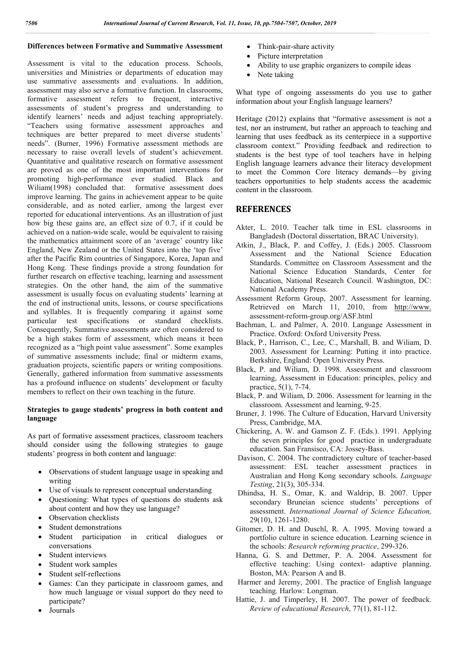### **Differences between Formative and Summative Assessment**

Assessment is vital to the education process. Schools, universities and Ministries or departments of education may use summative assessments and evaluations. In addition, assessment may also serve a formative function. In classrooms, formative assessment refers to frequent, interactive assessments of student's progress and understanding to identify learners' needs and adjust teaching appropriately. "Teachers using formative assessment approaches and techniques are better prepared to meet diverse students' needs". (Burner, 1996) Formative assessment methods are necessary to raise overall levels of student's achievement. Quantitative and qualitative research on formative assessment are proved as one of the most important interventions for promoting high-performance ever studied. Black and Wiliam(1998) concluded that: formative assessment does improve learning. The gains in achievement appear to be quite considerable, and as noted earlier, among the largest ever reported for educational interventions. As an illustration of just how big these gains are, an effect size of 0.7, if it could be achieved on a nation-wide scale, would be equivalent to raising the mathematics attainment score of an 'average' country like England, New Zealand or the United States into the 'top five' after the Pacific Rim countries of Singapore, Korea, Japan and Hong Kong. These findings provide a strong foundation for further research on effective teaching, learning and assessment strategies. On the other hand, the aim of the summative assessment is usually focus on evaluating students' learning at the end of instructional units, lessons, or course specifications and syllables. It is frequently comparing it against some particular test specifications or standard checklists. Consequently, Summative assessments are often considered to be a high stakes form of assessment, which means it been recognized as a "high point value assessment". Some examples of summative assessments include; final or midterm exams, graduation projects, scientific papers or writing compositions. Generally, gathered information from summative assessments has a profound influence on students' development or faculty members to reflect on their own teaching in the future.

### **Strategies to gauge students' progress in both content and language**

As part of formative assessment practices, classroom teachers should consider using the following strategies to gauge students' progress in both content and language:

- Observations of student language usage in speaking and writing
- Use of visuals to represent conceptual understanding
- Questioning: What types of questions do students ask about content and how they use language?
- Observation checklists
- Student demonstrations
- Student participation in critical dialogues or conversations
- Student interviews
- Student work samples
- Student self-reflections
- Games: Can they participate in classroom games, and how much language or visual support do they need to participate?
- Journals
- Think-pair-share activity
- Picture interpretation
- Ability to use graphic organizers to compile ideas
- Note taking

What type of ongoing assessments do you use to gather information about your English language learners?

Heritage (2012) explains that "formative assessment is not a test, nor an instrument, but rather an approach to teaching and learning that uses feedback as its centerpiece in a supportive classroom context." Providing feedback and redirection to students is the best type of tool teachers have in helping English language learners advance their literacy development to meet the Common Core literacy demands—by giving teachers opportunities to help students access the academic content in the classroom.

## **REFERENCES**

- Akter, L. 2010. Teacher talk time in ESL classrooms in Bangladesh (Doctoral dissertation, BRAC University).
- Atkin, J., Black, P. and Coffey, J. (Eds.) 2005. Classroom Assessment and the National Science Education Standards. Committee on Classroom Assessment and the National Science Education Standards, Center for Education, National Research Council. Washington, DC: National Academy Press.
- Assessment Reform Group, 2007. Assessment for learning. Retrieved on March 11, 2010, from http://www. assessment-reform-group.org/ASF.html
- Bachman, L. and Palmer, A. 2010. Language Assessment in Practice. Oxford: Oxford University Press.
- Black, P., Harrison, C., Lee, C., Marshall, B. and Wiliam, D. 2003. Assessment for Learning: Putting it into practice. Berkshire, England: Open University Press.
- Black, P. and Wiliam, D. 1998. Assessment and classroom learning, Assessment in Education: principles, policy and practice, 5(1), 7-74.
- Black, P. and Wiliam, D. 2006. Assessment for learning in the classroom. Assessment and learning, 9-25.
- Bruner, J. 1996. The Culture of Education, Harvard University Press, Cambridge, MA.
- Chickering, A. W. and Gamson Z. F. (Eds.). 1991. Applying the seven principles for good practice in undergraduate education. San Fransisco, CA: Jossey-Bass.
- Davison, C. 2004. The contradictory culture of teacher-based assessment: ESL teacher assessment practices in Australian and Hong Kong secondary schools. *Language Testing*, 21(3), 305-334.
- Dhindsa, H. S., Omar, K. and Waldrip, B. 2007. Upper secondary Bruneian science students' perceptions of assessment. *International Journal of Science Education,* 29(10), 1261-1280.
- Gitomer, D. H. and Duschl, R. A. 1995. Moving toward a portfolio culture in science education. Learning science in the schools: *Research reforming practice*, 299-326.
- Hanna, G. S. and Dettmer, P. A. 2004. Assessment for effective teaching: Using context- adaptive planning. Boston, MA: Pearson A and B.
- Harmer and Jeremy, 2001. The practice of English language teaching. Harlow: Longman.
- Hattie, J. and Timperley, H. 2007. The power of feedback. *Review of educational Research*, 77(1), 81-112.